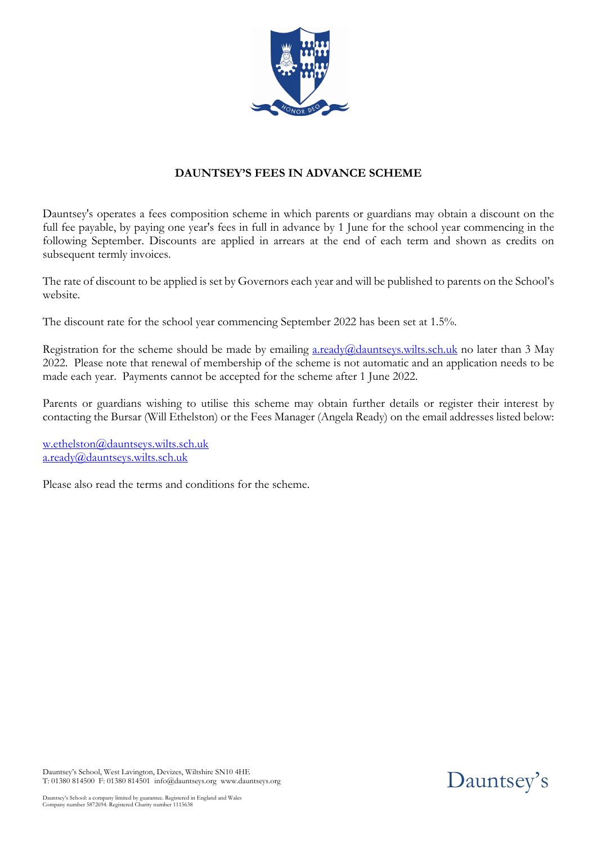

# **DAUNTSEY'S FEES IN ADVANCE SCHEME**

Dauntsey's operates a fees composition scheme in which parents or guardians may obtain a discount on the full fee payable, by paying one year's fees in full in advance by 1 June for the school year commencing in the following September. Discounts are applied in arrears at the end of each term and shown as credits on subsequent termly invoices.

The rate of discount to be applied is set by Governors each year and will be published to parents on the School's website.

The discount rate for the school year commencing September 2022 has been set at 1.5%.

Registration for the scheme should be made by emailing  $a.readv(\omega)$ dauntseys.wilts.sch.uk no later than 3 May 2022. Please note that renewal of membership of the scheme is not automatic and an application needs to be made each year. Payments cannot be accepted for the scheme after 1 June 2022.

Parents or guardians wishing to utilise this scheme may obtain further details or register their interest by contacting the Bursar (Will Ethelston) or the Fees Manager (Angela Ready) on the email addresses listed below:

w.ethelston@dauntseys.wilts.sch.uk a.ready@dauntseys.wilts.sch.uk

Please also read the terms and conditions for the scheme.

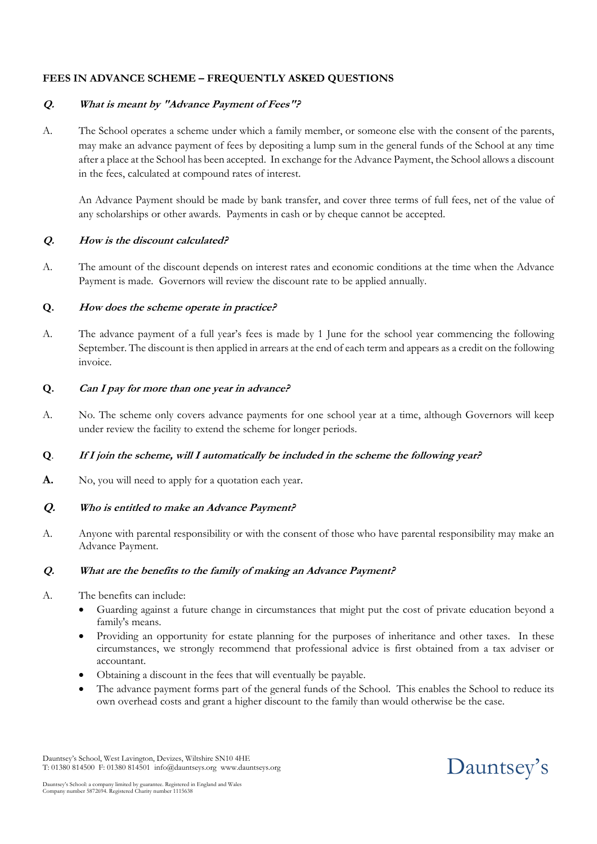## **FEES IN ADVANCE SCHEME – FREQUENTLY ASKED QUESTIONS**

## **Q. What is meant by "Advance Payment of Fees"?**

A. The School operates a scheme under which a family member, or someone else with the consent of the parents, may make an advance payment of fees by depositing a lump sum in the general funds of the School at any time after a place at the School has been accepted. In exchange for the Advance Payment, the School allows a discount in the fees, calculated at compound rates of interest.

An Advance Payment should be made by bank transfer, and cover three terms of full fees, net of the value of any scholarships or other awards. Payments in cash or by cheque cannot be accepted.

## **Q. How is the discount calculated?**

A. The amount of the discount depends on interest rates and economic conditions at the time when the Advance Payment is made. Governors will review the discount rate to be applied annually.

## **Q. How does the scheme operate in practice?**

A. The advance payment of a full year's fees is made by 1 June for the school year commencing the following September. The discount is then applied in arrears at the end of each term and appears as a credit on the following invoice.

## **Q. Can I pay for more than one year in advance?**

A. No. The scheme only covers advance payments for one school year at a time, although Governors will keep under review the facility to extend the scheme for longer periods.

#### **Q**. **If I join the scheme, will I automatically be included in the scheme the following year?**

A. No, you will need to apply for a quotation each year.

## **Q. Who is entitled to make an Advance Payment?**

A. Anyone with parental responsibility or with the consent of those who have parental responsibility may make an Advance Payment.

#### **Q. What are the benefits to the family of making an Advance Payment?**

- A. The benefits can include:
	- Guarding against a future change in circumstances that might put the cost of private education beyond a family's means.
	- Providing an opportunity for estate planning for the purposes of inheritance and other taxes. In these circumstances, we strongly recommend that professional advice is first obtained from a tax adviser or accountant.
	- Obtaining a discount in the fees that will eventually be payable.
	- The advance payment forms part of the general funds of the School. This enables the School to reduce its own overhead costs and grant a higher discount to the family than would otherwise be the case.

Dauntsey's School, West Lavington, Devizes, Wiltshire SN10 4HE T: 01380 814500 F: 01380 814501 info@dauntseys.org www.dauntseys.org

Dauntsey's School: a company limited by guarantee. Registered in England and Wales Company number 5872694. Registered Charity number 1115638